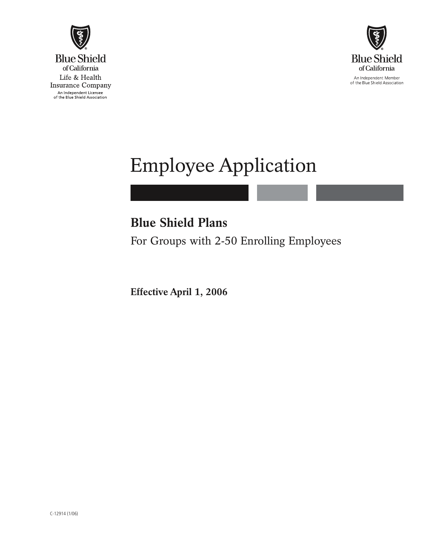



# Employee Application

## **Blue Shield Plans**

For Groups with 2-50 Enrolling Employees

**Effective April 1, 2006**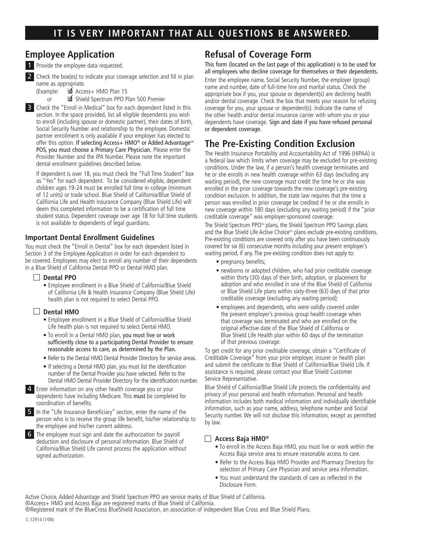## **IT IS VERY IMPORTANT THAT ALL QUESTIONS BE ANSWERED.**

#### **Employee Application**

1 Provide the employee data requested.

2 Check the box(es) to indicate your coverage selection and fill in plan name as appropriate.

(Example: ■ Access+ HMO Plan 15

or **3** Shield Spectrum PPO Plan 500 Premier

**3** Check the "Enroll in Medical" box for each dependent listed in this section. In the space provided, list all eligible dependents you wish to enroll (including spouse or domestic partner), their dates of birth, Social Security Number and relationship to the employee. Domestic partner enrollment is only available if your employer has elected to offer this option. If selecting Access+ HMO® or Added Advantage<sup>™</sup> POS, you must choose a Primary Care Physician. Please enter the Provider Number and the IPA Number. Please note the important dental enrollment guidelines described below.

 If dependent is over 18, you must check the "Full Time Student" box as "Yes" for each dependent. To be considered eligible, dependent children ages 19-24 must be enrolled full time in college (minimum of 12 units) or trade school. Blue Shield of California/Blue Shield of California Life and Health Insurance Company (Blue Shield Life) will deem this completed information to be a certification of full time student status. Dependent coverage over age 18 for full time students is not available to dependents of legal guardians.

#### **Important Dental Enrollment Guidelines**

You must check the "Enroll in Dental" box for each dependent listed in Section 3 of the Employee Application in order for each dependent to be covered. Employees may elect to enroll any number of their dependents in a Blue Shield of California Dental PPO or Dental HMO plan.

#### □ Dental PPO

• Employee enrollment in a Blue Shield of California/Blue Shield of California Life & Health Insurance Company (Blue Shield Life) health plan is not required to select Dental PPO.

#### □ Dental HMO

- Employee enrollment in a Blue Shield of California/Blue Shield Life health plan is not required to select Dental HMO.
- To enroll in a Dental HMO plan, you must live or work sufficiently close to a participating Dental Provider to ensure reasonable access to care, as determined by the Plan.
- Refer to the Dental HMO Dental Provider Directory for service areas.
- If selecting a Dental HMO plan, you must list the identification number of the Dental Provider you have selected. Refer to the Dental HMO Dental Provider Directory for the identification number.

4 Enter information on any other health coverage you or your dependents have including Medicare. This must be completed for coordination of benefits.

5 In the "Life Insurance Beneficiary" section, enter the name of the person who is to receive the group life benefit, his/her relationship to the employee and his/her current address.



#### **Refusal of Coverage Form**

This form (located on the last page of this application) is to be used for all employees who decline coverage for themselves or their dependents.

Enter the employee name, Social Security Number, the employer (group) name and number, date of full-time hire and marital status. Check the appropriate box if you, your spouse or dependent(s) are declining health and/or dental coverage. Check the box that meets your reason for refusing coverage for you, your spouse or dependent(s). Indicate the name of the other health and/or dental insurance carrier with whom you or your dependents have coverage. Sign and date if you have refused personal or dependent coverage.

## **The Pre-Existing Condition Exclusion**

The Health Insurance Portability and Accountability Act of 1996 (HIPAA) is a federal law which limits when coverage may be excluded for pre-existing conditions. Under the law, if a person's health coverage terminates and he or she enrolls in new health coverage within 63 days (excluding any waiting period), the new coverage must credit the time he or she was enrolled in the prior coverage towards the new coverage's pre-existing condition exclusion. In addition, the state law requires that the time a person was enrolled in prior coverage be credited if he or she enrolls in new coverage within 180 days (excluding any waiting period) if the "prior creditable coverage" was employer-sponsored coverage.

The Shield Spectrum PPO<sup>5M</sup> plans, the Shield Spectrum PPO Savings plans and the Blue Shield Life Active Choice<sup>5M</sup> plans exclude pre-existing conditions. Pre-existing conditions are covered only after you have been continuously covered for six (6) consecutive months including your present employer's waiting period, if any. The pre-existing condition does not apply to:

- pregnancy benefits;
- newborns or adopted children, who had prior creditable coverage within thirty (30) days of their birth, adoption, or placement for adoption and who enrolled in one of the Blue Shield of California or Blue Shield Life plans within sixty-three (63) days of that prior creditable coverage (excluding any waiting period);
- employees and dependents, who were validly covered under the present employer's previous group health coverage when that coverage was terminated and who are enrolled on the original effective date of the Blue Shield of California or Blue Shield Life Health plan within 60 days of the termination of that previous coverage.

To get credit for any prior creditable coverage, obtain a "Certificate of Creditable Coverage" from your prior employer, insurer or health plan and submit the certificate to Blue Shield of California/Blue Shield Life. If assistance is required, please contact your Blue Shield Customer Service Representative.

Blue Shield of California/Blue Shield Life protects the confidentiality and privacy of your personal and health information. Personal and health information includes both medical information and individually identifiable information, such as your name, address, telephone number and Social Security number. We will not disclose this information, except as permitted by law.

#### □ Access Baja HMO<sup>®</sup>

- To enroll in the Access Baja HMO, you must live or work within the Access Baja service area to ensure reasonable access to care.
- Refer to the Access Baja HMO Provider and Pharmacy Directory for selection of Primary Care Physician and service area information.
- You must understand the standards of care as reflected in the Disclosure Form.

Active Choice, Added Advantage and Shield Spectrum PPO are service marks of Blue Shield of California. ®Access+ HMO and Access Baja are registered marks of Blue Shield of California.

®Registered mark of the BlueCross BlueShield Association, an association of independent Blue Cross and Blue Shield Plans.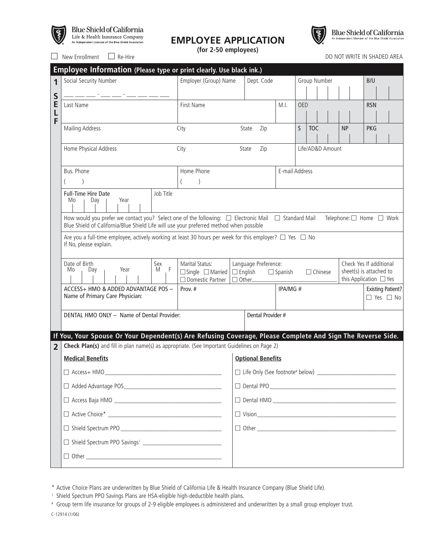

## $\begin{minipage}{.4\linewidth} \textbf{Blue} \textbf{Shield} \textbf{of } \textbf{California} \\ \textbf{Life} \textit{ & Health Insurance Company} \\ \textbf{An independent License of the Blue Shield Association} \end{minipage}$

### **EMPLOYEE APPLICATION**

**(for 2-50 employees)**



Blue Shield of California

compared the Re-Hire DO NOT WRITE IN SHADED AREA

|                  | Employee Information (Please type or print clearly. Use black ink.)                                                                                                                                                                  |                                                                                                                                                |                                   |                          |                                                                                                |            |                                                  |            |  |
|------------------|--------------------------------------------------------------------------------------------------------------------------------------------------------------------------------------------------------------------------------------|------------------------------------------------------------------------------------------------------------------------------------------------|-----------------------------------|--------------------------|------------------------------------------------------------------------------------------------|------------|--------------------------------------------------|------------|--|
| 1                | Social Security Number                                                                                                                                                                                                               | Employer (Group) Name<br>Dept. Code                                                                                                            |                                   |                          | Group Number<br>B/U                                                                            |            |                                                  |            |  |
| S<br>E<br>L<br>F |                                                                                                                                                                                                                                      |                                                                                                                                                |                                   |                          |                                                                                                |            |                                                  |            |  |
|                  | Last Name                                                                                                                                                                                                                            | First Name                                                                                                                                     |                                   | M.I.                     | <b>OED</b>                                                                                     |            |                                                  | <b>RSN</b> |  |
|                  | <b>Mailing Address</b>                                                                                                                                                                                                               | City<br>State<br>Zip                                                                                                                           |                                   |                          | $\mathsf{S}$                                                                                   | <b>TOC</b> | <b>NP</b>                                        | <b>PKG</b> |  |
|                  | Home Physical Address                                                                                                                                                                                                                | City<br>State<br>Zip                                                                                                                           |                                   |                          | Life/AD&D Amount                                                                               |            |                                                  |            |  |
|                  | Bus. Phone                                                                                                                                                                                                                           | Home Phone<br>$\mathcal{E}$                                                                                                                    |                                   |                          | E-mail Address                                                                                 |            |                                                  |            |  |
|                  | Full-Time Hire Date<br>Job Title<br>Year<br>Mo<br>Day                                                                                                                                                                                |                                                                                                                                                |                                   |                          |                                                                                                |            |                                                  |            |  |
|                  | How would you prefer we contact you? Select one of the following: □ Electronic Mail □ Standard Mail<br>Telephone: $\Box$ Home $\Box$ Work<br>Blue Shield of California/Blue Shield Life will use your preferred method when possible |                                                                                                                                                |                                   |                          |                                                                                                |            |                                                  |            |  |
|                  | Are you a full-time employee, actively working at least 30 hours per week for this employer? $\square$ Yes $\square$ No<br>If No, please explain.                                                                                    |                                                                                                                                                |                                   |                          |                                                                                                |            |                                                  |            |  |
|                  | Date of Birth<br>Sex<br>$\mathsf F$<br>Year<br>M<br>Mo<br>Day                                                                                                                                                                        | Marital Status:<br>Language Preference:<br>$\Box$ Single $\Box$ Married $\Box$ English<br>$\Box$ Spanish<br>$\Box$ Other<br>□ Domestic Partner |                                   |                          | Check Yes If additional<br>sheet(s) is attached to<br>$\Box$ Chinese<br>this Application □ Yes |            |                                                  |            |  |
|                  | ACCESS+ HMO & ADDED ADVANTAGE POS -<br>Name of Primary Care Physician:                                                                                                                                                               | Prov. #                                                                                                                                        |                                   | IPA/MG#                  |                                                                                                |            | <b>Existing Patient?</b><br>$\Box$ Yes $\Box$ No |            |  |
|                  | DENTAL HMO ONLY - Name of Dental Provider:                                                                                                                                                                                           |                                                                                                                                                | Dental Provider #                 |                          |                                                                                                |            |                                                  |            |  |
|                  | If You, Your Spouse Or Your Dependent(s) Are Refusing Coverage, Please Complete And Sign The Reverse Side.                                                                                                                           |                                                                                                                                                |                                   |                          |                                                                                                |            |                                                  |            |  |
| $\overline{2}$   | Check Plan(s) and fill in plan name(s) as appropriate. (See Important Guidelines on Page 2)                                                                                                                                          |                                                                                                                                                |                                   |                          |                                                                                                |            |                                                  |            |  |
|                  | <b>Medical Benefits</b>                                                                                                                                                                                                              |                                                                                                                                                |                                   | <b>Optional Benefits</b> |                                                                                                |            |                                                  |            |  |
|                  | $\Box$ Access+ HMO                                                                                                                                                                                                                   |                                                                                                                                                | □ Life Only (See footnote# below) |                          |                                                                                                |            |                                                  |            |  |
|                  |                                                                                                                                                                                                                                      |                                                                                                                                                |                                   |                          |                                                                                                |            |                                                  |            |  |
|                  |                                                                                                                                                                                                                                      |                                                                                                                                                |                                   |                          |                                                                                                |            |                                                  |            |  |
|                  |                                                                                                                                                                                                                                      |                                                                                                                                                |                                   |                          |                                                                                                |            |                                                  |            |  |
|                  |                                                                                                                                                                                                                                      |                                                                                                                                                |                                   |                          |                                                                                                |            |                                                  |            |  |
|                  |                                                                                                                                                                                                                                      |                                                                                                                                                |                                   |                          |                                                                                                |            |                                                  |            |  |
|                  | <u> 1989 - Johann Stein, mars an deutscher Stein und der Stein und der Stein und der Stein und der Stein und der</u>                                                                                                                 |                                                                                                                                                |                                   |                          |                                                                                                |            |                                                  |            |  |

<sup>\*</sup> Active Choice Plans are underwritten by Blue Shield of California Life & Health Insurance Company (Blue Shield Life).

<sup>&</sup>lt;sup>1</sup> Shield Spectrum PPO Savings Plans are HSA-eligible high-deductible health plans.

<sup>#</sup> Group term life insurance for groups of 2-9 eligible employees is administered and underwritten by a small group employer trust.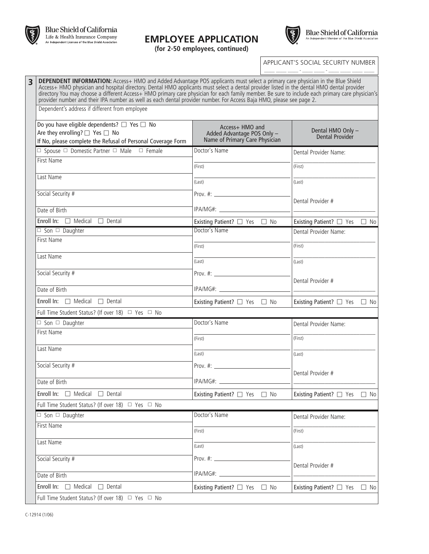

**EMPLOYEE APPLICATION**



**(for 2-50 employees, continued)**

APPLICANT'S SOCIAL SECURITY NUMBER \_\_\_\_\_ \_\_\_\_\_ \_\_\_\_\_ - \_\_\_\_\_ \_\_\_\_\_ - \_\_\_\_\_ \_\_\_\_\_ \_\_\_\_\_ \_\_\_\_\_

**3 DEPENDENT INFORMATION:** Access+ HMO and Added Advantage POS applicants must select a primary care physician in the Blue Shield Access+ HMO physician and hospital directory. Dental HMO applicants must select a dental p directory You may choose a different Access+ HMO primary care physician for each family member. Be sure to include each primary care physician's provider number and their IPA number as well as each dental provider number. For Access Baja HMO, please see page 2. Dependent's address if different from employee

| Do you have eligible dependents? $\Box$ Yes $\Box$ No<br>Are they enrolling? $\Box$ Yes $\Box$ No<br>If No, please complete the Refusal of Personal Coverage Form | Access+ HMO and<br>Added Advantage POS Only -<br>Name of Primary Care Physician | Dental HMO Only -<br>Dental Provider                             |  |  |
|-------------------------------------------------------------------------------------------------------------------------------------------------------------------|---------------------------------------------------------------------------------|------------------------------------------------------------------|--|--|
| $\Box$ Spouse $\Box$ Domestic Partner $\Box$ Male $\Box$ Female                                                                                                   | Doctor's Name                                                                   | Dental Provider Name:                                            |  |  |
| <b>First Name</b>                                                                                                                                                 | (First)                                                                         | (First)                                                          |  |  |
| Last Name                                                                                                                                                         | (Last)                                                                          | (Last)                                                           |  |  |
| Social Security #                                                                                                                                                 |                                                                                 |                                                                  |  |  |
| Date of Birth                                                                                                                                                     |                                                                                 | Dental Provider #                                                |  |  |
| Enroll In: $\Box$ Medical $\Box$ Dental                                                                                                                           | Existing Patient? □ Yes □ No                                                    | Existing Patient? □ Yes □ No                                     |  |  |
| $\Box$ Son $\Box$ Daughter                                                                                                                                        | Doctor's Name                                                                   | Dental Provider Name:                                            |  |  |
| First Name                                                                                                                                                        | (First)                                                                         | (First)                                                          |  |  |
| Last Name                                                                                                                                                         | (Last)                                                                          | (Last)                                                           |  |  |
| Social Security #                                                                                                                                                 |                                                                                 | Dental Provider #                                                |  |  |
| Date of Birth                                                                                                                                                     |                                                                                 | <u> 1989 - Jan James James Barnett, fransk politik (d. 1989)</u> |  |  |
| Enroll In: $\Box$ Medical $\Box$ Dental                                                                                                                           | Existing Patient? □ Yes □ No                                                    | Existing Patient? $\Box$ Yes $\Box$ No                           |  |  |
| Full Time Student Status? (If over 18) □ Yes □ No                                                                                                                 |                                                                                 |                                                                  |  |  |
| $\Box$ Son $\Box$ Daughter                                                                                                                                        | Doctor's Name                                                                   | Dental Provider Name:                                            |  |  |
| First Name                                                                                                                                                        | (First)                                                                         | (First)                                                          |  |  |
| Last Name                                                                                                                                                         | (Last)                                                                          | (Last)                                                           |  |  |
| Social Security #                                                                                                                                                 | Prov. #: $\_$                                                                   | Dental Provider #                                                |  |  |
| Date of Birth                                                                                                                                                     |                                                                                 |                                                                  |  |  |
| Enroll In: $\Box$ Medical $\Box$ Dental                                                                                                                           | Existing Patient? □ Yes □ No                                                    | Existing Patient? $\Box$ Yes $\Box$ No                           |  |  |
| Full Time Student Status? (If over 18) □ Yes □ No                                                                                                                 |                                                                                 |                                                                  |  |  |
| $\Box$ Son $\Box$ Daughter                                                                                                                                        | Doctor's Name                                                                   | Dental Provider Name:                                            |  |  |
| First Name                                                                                                                                                        | (First)                                                                         | (First)                                                          |  |  |
| Last Name                                                                                                                                                         | (Last)                                                                          | (Last)                                                           |  |  |
| Social Security #                                                                                                                                                 | Prov. #: $\frac{1}{2}$                                                          |                                                                  |  |  |
| Date of Birth                                                                                                                                                     |                                                                                 | Dental Provider #                                                |  |  |
| Enroll In:<br>$\Box$ Medical $\Box$ Dental                                                                                                                        | Existing Patient? □ Yes<br>$\Box$ No                                            | Existing Patient? □ Yes<br>$\Box$ No                             |  |  |
| Full Time Student Status? (If over 18) □ Yes □ No                                                                                                                 |                                                                                 |                                                                  |  |  |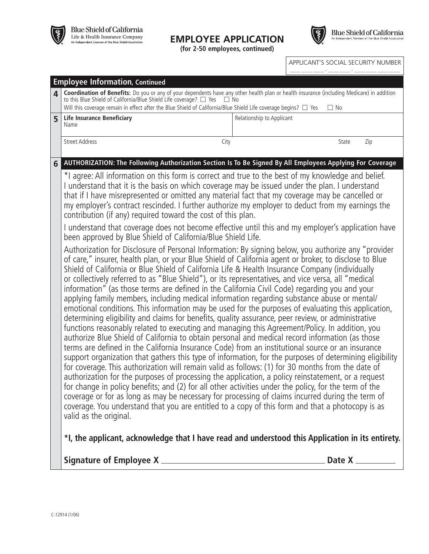

#### **EMPLOYEE APPLICATION**

**(for 2-50 employees, continued)**



|                                                                                                                                                                                                                                                                                                                                                                                                                                                                             |                                                                                                                                                                                                                                                                                              | APPLICANT'S SOCIAL SECURITY NUMBER                                                                                                                                                                                                                                                                                                                                                                                                                                                                                                                                                                                                                                                                                                                                                                                                                                                                                                                                                                                                                                                                                                                                                                                                                                                                                                                                                                                                                                                                                                                                                                                                                                                        |  |  |  |  |
|-----------------------------------------------------------------------------------------------------------------------------------------------------------------------------------------------------------------------------------------------------------------------------------------------------------------------------------------------------------------------------------------------------------------------------------------------------------------------------|----------------------------------------------------------------------------------------------------------------------------------------------------------------------------------------------------------------------------------------------------------------------------------------------|-------------------------------------------------------------------------------------------------------------------------------------------------------------------------------------------------------------------------------------------------------------------------------------------------------------------------------------------------------------------------------------------------------------------------------------------------------------------------------------------------------------------------------------------------------------------------------------------------------------------------------------------------------------------------------------------------------------------------------------------------------------------------------------------------------------------------------------------------------------------------------------------------------------------------------------------------------------------------------------------------------------------------------------------------------------------------------------------------------------------------------------------------------------------------------------------------------------------------------------------------------------------------------------------------------------------------------------------------------------------------------------------------------------------------------------------------------------------------------------------------------------------------------------------------------------------------------------------------------------------------------------------------------------------------------------------|--|--|--|--|
|                                                                                                                                                                                                                                                                                                                                                                                                                                                                             |                                                                                                                                                                                                                                                                                              |                                                                                                                                                                                                                                                                                                                                                                                                                                                                                                                                                                                                                                                                                                                                                                                                                                                                                                                                                                                                                                                                                                                                                                                                                                                                                                                                                                                                                                                                                                                                                                                                                                                                                           |  |  |  |  |
| $\mathbf{A}$<br>to this Blue Shield of California/Blue Shield Life coverage? □ Yes                                                                                                                                                                                                                                                                                                                                                                                          | Coordination of Benefits: Do you or any of your dependents have any other health plan or health insurance (including Medicare) in addition<br>$\Box$ No<br>Will this coverage remain in effect after the Blue Shield of California/Blue Shield Life coverage begins? $\Box$ Yes<br>$\Box$ No |                                                                                                                                                                                                                                                                                                                                                                                                                                                                                                                                                                                                                                                                                                                                                                                                                                                                                                                                                                                                                                                                                                                                                                                                                                                                                                                                                                                                                                                                                                                                                                                                                                                                                           |  |  |  |  |
| <b>Life Insurance Beneficiary</b><br>Name                                                                                                                                                                                                                                                                                                                                                                                                                                   | Relationship to Applicant                                                                                                                                                                                                                                                                    |                                                                                                                                                                                                                                                                                                                                                                                                                                                                                                                                                                                                                                                                                                                                                                                                                                                                                                                                                                                                                                                                                                                                                                                                                                                                                                                                                                                                                                                                                                                                                                                                                                                                                           |  |  |  |  |
| <b>Street Address</b><br>City                                                                                                                                                                                                                                                                                                                                                                                                                                               |                                                                                                                                                                                                                                                                                              | State<br>Zip                                                                                                                                                                                                                                                                                                                                                                                                                                                                                                                                                                                                                                                                                                                                                                                                                                                                                                                                                                                                                                                                                                                                                                                                                                                                                                                                                                                                                                                                                                                                                                                                                                                                              |  |  |  |  |
|                                                                                                                                                                                                                                                                                                                                                                                                                                                                             |                                                                                                                                                                                                                                                                                              |                                                                                                                                                                                                                                                                                                                                                                                                                                                                                                                                                                                                                                                                                                                                                                                                                                                                                                                                                                                                                                                                                                                                                                                                                                                                                                                                                                                                                                                                                                                                                                                                                                                                                           |  |  |  |  |
| *I agree: All information on this form is correct and true to the best of my knowledge and belief.<br>I understand that it is the basis on which coverage may be issued under the plan. I understand<br>that if I have misrepresented or omitted any material fact that my coverage may be cancelled or<br>my employer's contract rescinded. I further authorize my employer to deduct from my earnings the<br>contribution (if any) required toward the cost of this plan. |                                                                                                                                                                                                                                                                                              |                                                                                                                                                                                                                                                                                                                                                                                                                                                                                                                                                                                                                                                                                                                                                                                                                                                                                                                                                                                                                                                                                                                                                                                                                                                                                                                                                                                                                                                                                                                                                                                                                                                                                           |  |  |  |  |
| I understand that coverage does not become effective until this and my employer's application have<br>been approved by Blue Shield of California/Blue Shield Life.                                                                                                                                                                                                                                                                                                          |                                                                                                                                                                                                                                                                                              |                                                                                                                                                                                                                                                                                                                                                                                                                                                                                                                                                                                                                                                                                                                                                                                                                                                                                                                                                                                                                                                                                                                                                                                                                                                                                                                                                                                                                                                                                                                                                                                                                                                                                           |  |  |  |  |
|                                                                                                                                                                                                                                                                                                                                                                                                                                                                             |                                                                                                                                                                                                                                                                                              |                                                                                                                                                                                                                                                                                                                                                                                                                                                                                                                                                                                                                                                                                                                                                                                                                                                                                                                                                                                                                                                                                                                                                                                                                                                                                                                                                                                                                                                                                                                                                                                                                                                                                           |  |  |  |  |
|                                                                                                                                                                                                                                                                                                                                                                                                                                                                             | <b>Employee Information, Continued</b>                                                                                                                                                                                                                                                       | AUTHORIZATION: The Following Authorization Section Is To Be Signed By All Employees Applying For Coverage<br>Authorization for Disclosure of Personal Information: By signing below, you authorize any "provider<br>of care," insurer, health plan, or your Blue Shield of California agent or broker, to disclose to Blue<br>Shield of California or Blue Shield of California Life & Health Insurance Company (individually<br>or collectively referred to as "Blue Shield"), or its representatives, and vice versa, all "medical<br>information" (as those terms are defined in the California Civil Code) regarding you and your<br>applying family members, including medical information regarding substance abuse or mental/<br>emotional conditions. This information may be used for the purposes of evaluating this application,<br>determining eligibility and claims for benefits, quality assurance, peer review, or administrative<br>functions reasonably related to executing and managing this Agreement/Policy. In addition, you<br>authorize Blue Shield of California to obtain personal and medical record information (as those<br>terms are defined in the California Insurance Code) from an institutional source or an insurance<br>support organization that gathers this type of information, for the purposes of determining eligibility<br>for coverage. This authorization will remain valid as follows: (1) for 30 months from the date of<br>authorization for the purposes of processing the application, a policy reinstatement, or a request<br>for change in policy benefits; and (2) for all other activities under the policy, for the term of the |  |  |  |  |

coverage or for as long as may be necessary for processing of claims incurred during the term of coverage. You understand that you are entitled to a copy of this form and that a photocopy is as valid as the original.

**\*I, the applicant, acknowledge that I have read and understood this Application in its entirety.**

**Signature of Employee X Date X**